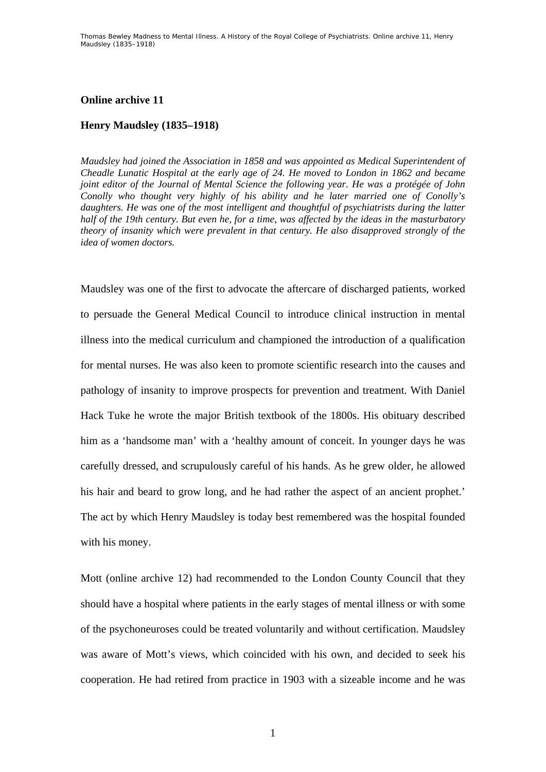## **Online archive 11**

## **Henry Maudsley (1835–1918)**

*Maudsley had joined the Association in 1858 and was appointed as Medical Superintendent of Cheadle Lunatic Hospital at the early age of 24. He moved to London in 1862 and became joint editor of the Journal of Mental Science the following year. He was a protégée of John Conolly who thought very highly of his ability and he later married one of Conolly's daughters. He was one of the most intelligent and thoughtful of psychiatrists during the latter half of the 19th century. But even he, for a time, was affected by the ideas in the masturbatory theory of insanity which were prevalent in that century. He also disapproved strongly of the idea of women doctors.* 

Maudsley was one of the first to advocate the aftercare of discharged patients, worked to persuade the General Medical Council to introduce clinical instruction in mental illness into the medical curriculum and championed the introduction of a qualification for mental nurses. He was also keen to promote scientific research into the causes and pathology of insanity to improve prospects for prevention and treatment. With Daniel Hack Tuke he wrote the major British textbook of the 1800s. His obituary described him as a 'handsome man' with a 'healthy amount of conceit. In younger days he was carefully dressed, and scrupulously careful of his hands. As he grew older, he allowed his hair and beard to grow long, and he had rather the aspect of an ancient prophet.' The act by which Henry Maudsley is today best remembered was the hospital founded with his money.

Mott (online archive 12) had recommended to the London County Council that they should have a hospital where patients in the early stages of mental illness or with some of the psychoneuroses could be treated voluntarily and without certification. Maudsley was aware of Mott's views, which coincided with his own, and decided to seek his cooperation. He had retired from practice in 1903 with a sizeable income and he was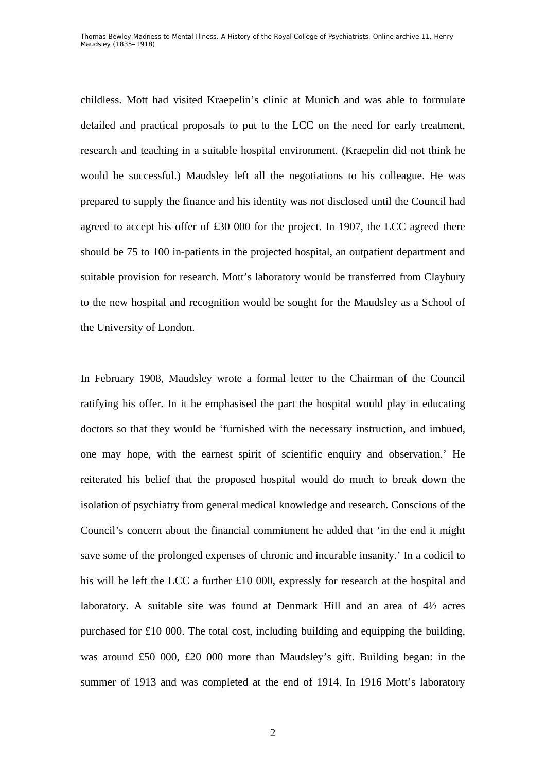childless. Mott had visited Kraepelin's clinic at Munich and was able to formulate detailed and practical proposals to put to the LCC on the need for early treatment, research and teaching in a suitable hospital environment. (Kraepelin did not think he would be successful.) Maudsley left all the negotiations to his colleague. He was prepared to supply the finance and his identity was not disclosed until the Council had agreed to accept his offer of £30 000 for the project. In 1907, the LCC agreed there should be 75 to 100 in-patients in the projected hospital, an outpatient department and suitable provision for research. Mott's laboratory would be transferred from Claybury to the new hospital and recognition would be sought for the Maudsley as a School of the University of London.

In February 1908, Maudsley wrote a formal letter to the Chairman of the Council ratifying his offer. In it he emphasised the part the hospital would play in educating doctors so that they would be 'furnished with the necessary instruction, and imbued, one may hope, with the earnest spirit of scientific enquiry and observation.' He reiterated his belief that the proposed hospital would do much to break down the isolation of psychiatry from general medical knowledge and research. Conscious of the Council's concern about the financial commitment he added that 'in the end it might save some of the prolonged expenses of chronic and incurable insanity.' In a codicil to his will he left the LCC a further £10 000, expressly for research at the hospital and laboratory. A suitable site was found at Denmark Hill and an area of 4½ acres purchased for £10 000. The total cost, including building and equipping the building, was around £50 000, £20 000 more than Maudsley's gift. Building began: in the summer of 1913 and was completed at the end of 1914. In 1916 Mott's laboratory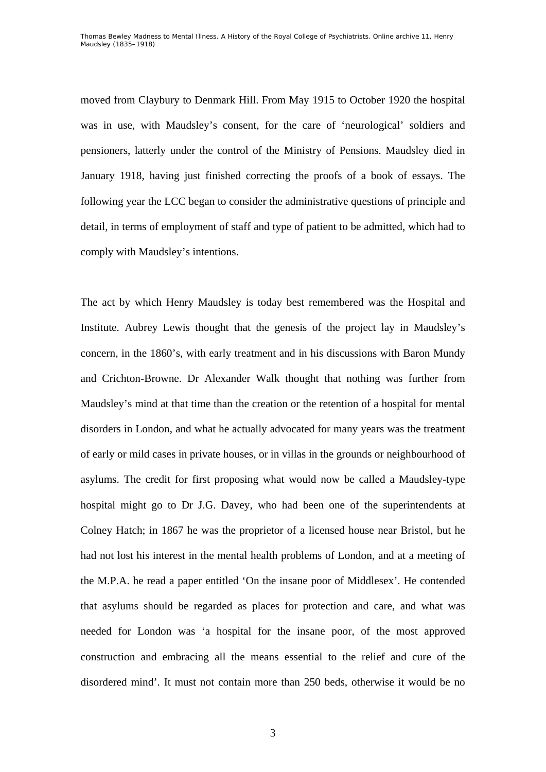moved from Claybury to Denmark Hill. From May 1915 to October 1920 the hospital was in use, with Maudsley's consent, for the care of 'neurological' soldiers and pensioners, latterly under the control of the Ministry of Pensions. Maudsley died in January 1918, having just finished correcting the proofs of a book of essays. The following year the LCC began to consider the administrative questions of principle and detail, in terms of employment of staff and type of patient to be admitted, which had to comply with Maudsley's intentions.

The act by which Henry Maudsley is today best remembered was the Hospital and Institute. Aubrey Lewis thought that the genesis of the project lay in Maudsley's concern, in the 1860's, with early treatment and in his discussions with Baron Mundy and Crichton-Browne. Dr Alexander Walk thought that nothing was further from Maudsley's mind at that time than the creation or the retention of a hospital for mental disorders in London, and what he actually advocated for many years was the treatment of early or mild cases in private houses, or in villas in the grounds or neighbourhood of asylums. The credit for first proposing what would now be called a Maudsley-type hospital might go to Dr J.G. Davey, who had been one of the superintendents at Colney Hatch; in 1867 he was the proprietor of a licensed house near Bristol, but he had not lost his interest in the mental health problems of London, and at a meeting of the M.P.A. he read a paper entitled 'On the insane poor of Middlesex'. He contended that asylums should be regarded as places for protection and care, and what was needed for London was 'a hospital for the insane poor, of the most approved construction and embracing all the means essential to the relief and cure of the disordered mind'. It must not contain more than 250 beds, otherwise it would be no